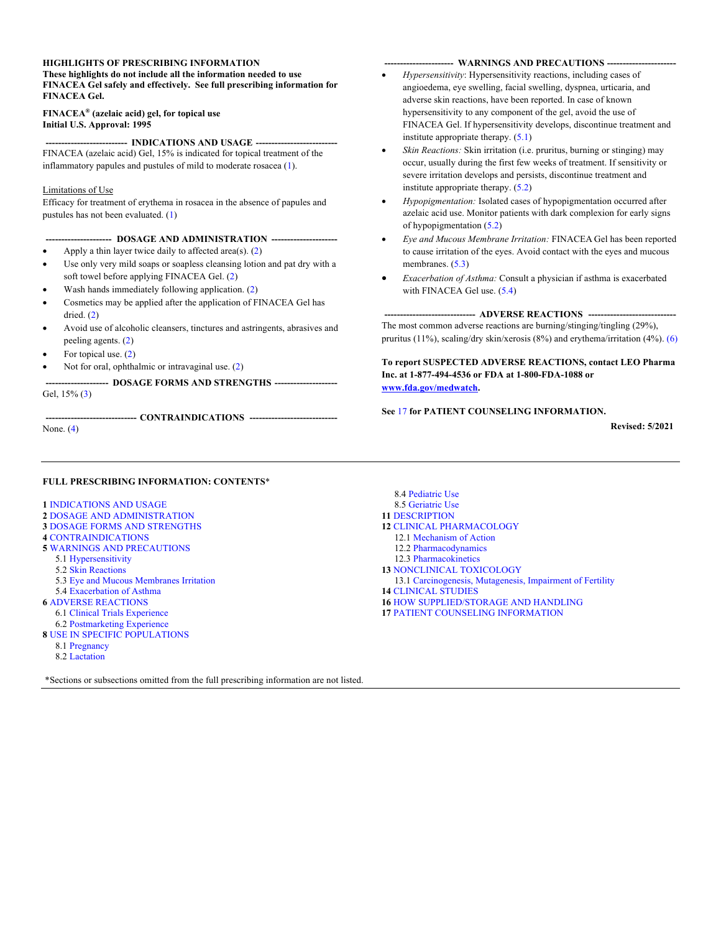#### **HIGHLIGHTS OF PRESCRIBING INFORMATION These highlights do not include all the information needed to use FINACEA Gel safely and effectively. See full prescribing information for FINACEA Gel.**

#### **FINACEA® (azelaic acid) gel, for topical use Initial U.S. Approval: 1995**

**-------------------------- -------------------------- INDICATIONS AND USAGE** FINACEA (azelaic acid) Gel, 15% is indicated for topical treatment of the inflammatory papules and pustules of mild to moderate rosacea ([1\)](#page-1-0).

#### Limitations of Use

Efficacy for treatment of erythema in rosacea in the absence of papules and pustules has not been evaluated. ([1\)](#page-1-0)

#### **--------------------- --------------------- DOSAGE AND ADMINISTRATION**

- Apply a thin layer twice daily to affected area(s). ([2\)](#page-1-0)
- Use only very mild soaps or soapless cleansing lotion and pat dry with a soft towel before applying FINACEA Gel. [\(2](#page-1-0))
- Wash hands immediately following application. [\(2](#page-1-0))
- Cosmetics may be applied after the application of FINACEA Gel has dried. [\(2](#page-1-0))
- Avoid use of alcoholic cleansers, tinctures and astringents, abrasives and peeling agents. [\(2\)](#page-1-0)
- For topical use. [\(2](#page-1-0))
- Not for oral, ophthalmic or intravaginal use. [\(2](#page-1-0))

**-------------------- -------------------- DOSAGE FORMS AND STRENGTHS**  Gel, 15% [\(3](#page-1-0))

**----------------------------- ---------------------------- CONTRAINDICATIONS** 

None. [\(4](#page-1-0))

#### **---------------------- ---------------------- WARNINGS AND PRECAUTIONS**

- *Hypersensitivity*: Hypersensitivity reactions, including cases of angioedema, eye swelling, facial swelling, dyspnea, urticaria, and adverse skin reactions, have been reported. In case of known hypersensitivity to any component of the gel, avoid the use of FINACEA Gel. If hypersensitivity develops, discontinue treatment and institute appropriate therapy. [\(5.1](#page-1-0))
- *Skin Reactions:* Skin irritation (i.e. pruritus, burning or stinging) may occur, usually during the first few weeks of treatment. If sensitivity or severe irritation develops and persists, discontinue treatment and institute appropriate therapy. [\(5.2](#page-2-0))
- *Hypopigmentation:* Isolated cases of hypopigmentation occurred after azelaic acid use. Monitor patients with dark complexion for early signs of hypopigmentation ([5.2\)](#page-2-0)
- *Eye and Mucous Membrane Irritation:* FINACEA Gel has been reported to cause irritation of the eyes. Avoid contact with the eyes and mucous membranes.  $(5.3)$  $(5.3)$
- *Exacerbation of Asthma:* Consult a physician if asthma is exacerbated with FINACEA Gel use. ([5.4](#page-2-0))

**----------------------------- ---------------------------- ADVERSE REACTIONS**  The most common adverse reactions are burning/stinging/tingling (29%), pruritus (11%), scaling/dry skin/xerosis (8%) and erythema/irritation (4%). [\(6](#page-2-0))

**To report SUSPECTED ADVERSE REACTIONS, contact LEO Pharma Inc. at 1-877-494-4536 or FDA at 1-800-FDA-1088 or [www.fda.gov/medwatch](http://www.fda.gov/medwatch).**

**See** [17](#page-7-0) **for PATIENT COUNSELING INFORMATION.**

**Revised: 5/2021**

#### **FULL PRESCRIBING INFORMATION: CONTENTS**\*

**1** INDICATIONS AND USAGE

- **2** DOSAGE AND ADMINISTRATION
- **3** DOSAGE FORMS AND STRENGTHS
- **4** CONTRAINDICATIONS
- **5** WARNINGS AND PRECAUTIONS
	- 5.1 Hypersensitivity 5.2 Skin Reactions
	-
	- 5.3 Eye and Mucous Membranes Irritation 5.4 Exacerbation of Asthma
- **6** ADVERSE REACTIONS
- 6.1 Clinical Trials Experience
- 6.2 Postmarketing Experience
- **8** USE IN SPECIFIC POPULATIONS
	- 8.1 Pregnancy
	- 8.2 Lactation

\*Sections or subsections omitted from the full prescribing information are not listed.

- 8.4 Pediatric Use 8.5 Geriatric Use **11** DESCRIPTION **12** CLINICAL PHARMACOLOGY 12.1 Mechanism of Action 12.2 Pharmacodynamics 12.3 Pharmacokinetics **13** NONCLINICAL TOXICOLOGY 13.1 Carcinogenesis, Mutagenesis, Impairment of Fertility **14** CLINICAL STUDIES **16** HOW SUPPLIED/STORAGE AND HANDLING
- **17** PATIENT COUNSELING INFORMATION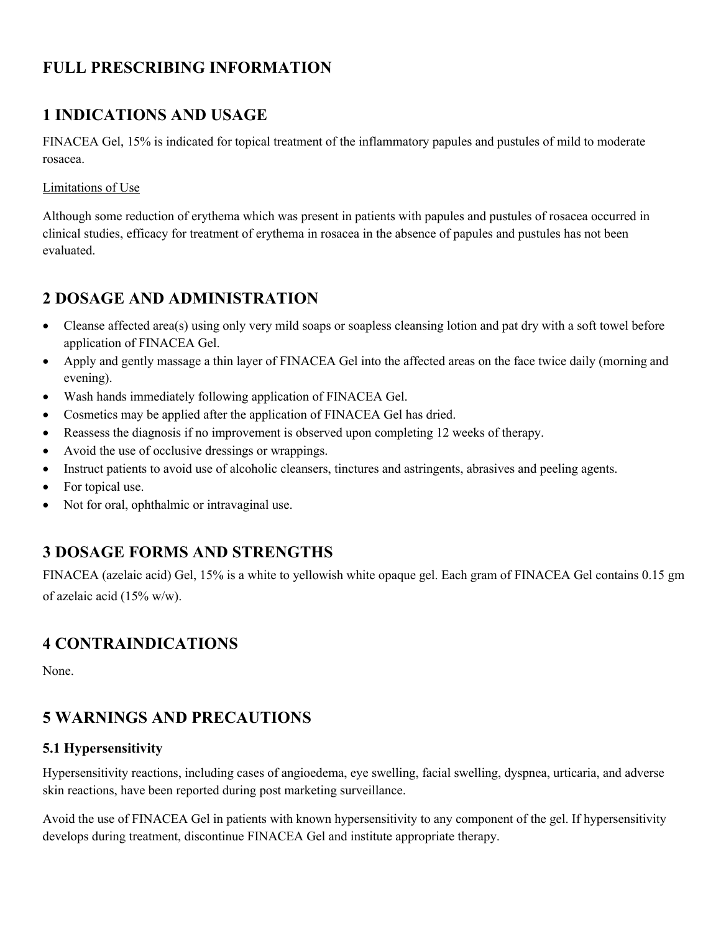# <span id="page-1-0"></span>**FULL PRESCRIBING INFORMATION**

# **1 INDICATIONS AND USAGE**

FINACEA Gel, 15% is indicated for topical treatment of the inflammatory papules and pustules of mild to moderate rosacea.

### Limitations of Use

Although some reduction of erythema which was present in patients with papules and pustules of rosacea occurred in clinical studies, efficacy for treatment of erythema in rosacea in the absence of papules and pustules has not been evaluated.

# **2 DOSAGE AND ADMINISTRATION**

- Cleanse affected area(s) using only very mild soaps or soapless cleansing lotion and pat dry with a soft towel before application of FINACEA Gel.
- Apply and gently massage a thin layer of FINACEA Gel into the affected areas on the face twice daily (morning and evening).
- Wash hands immediately following application of FINACEA Gel.
- Cosmetics may be applied after the application of FINACEA Gel has dried.
- Reassess the diagnosis if no improvement is observed upon completing 12 weeks of therapy.
- Avoid the use of occlusive dressings or wrappings.
- Instruct patients to avoid use of alcoholic cleansers, tinctures and astringents, abrasives and peeling agents.
- For topical use.
- Not for oral, ophthalmic or intravaginal use.

# **3 DOSAGE FORMS AND STRENGTHS**

FINACEA (azelaic acid) Gel, 15% is a white to yellowish white opaque gel. Each gram of FINACEA Gel contains 0.15 gm of azelaic acid (15% w/w).

# **4 CONTRAINDICATIONS**

None.

# **5 WARNINGS AND PRECAUTIONS**

### **5.1 Hypersensitivity**

Hypersensitivity reactions, including cases of angioedema, eye swelling, facial swelling, dyspnea, urticaria, and adverse skin reactions, have been reported during post marketing surveillance.

Avoid the use of FINACEA Gel in patients with known hypersensitivity to any component of the gel. If hypersensitivity develops during treatment, discontinue FINACEA Gel and institute appropriate therapy.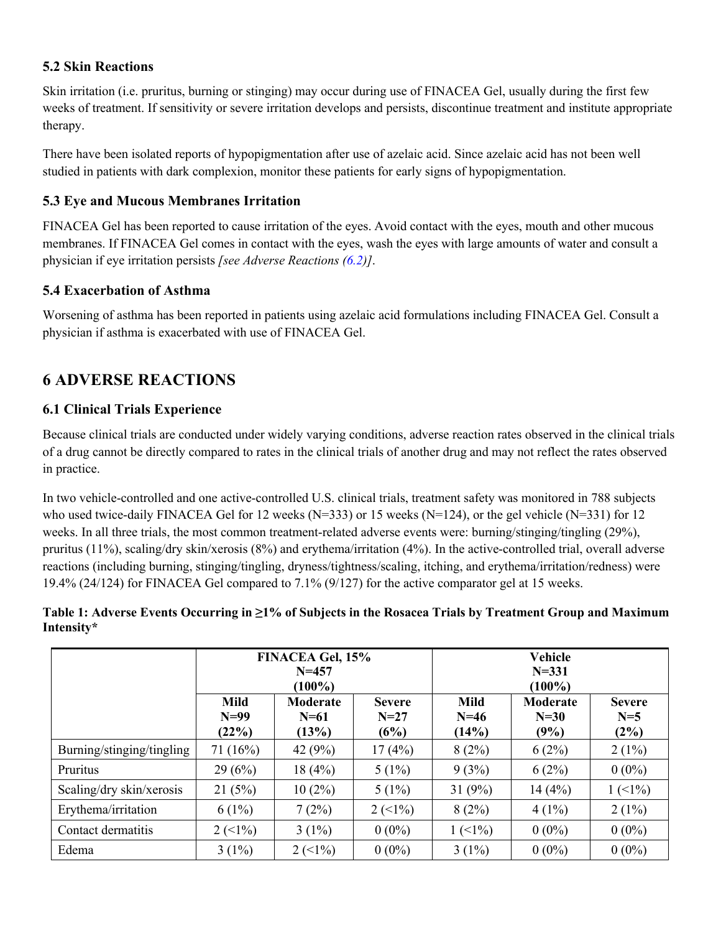## <span id="page-2-0"></span>**5.2 Skin Reactions**

Skin irritation (i.e. pruritus, burning or stinging) may occur during use of FINACEA Gel, usually during the first few weeks of treatment. If sensitivity or severe irritation develops and persists, discontinue treatment and institute appropriate therapy.

There have been isolated reports of hypopigmentation after use of azelaic acid. Since azelaic acid has not been well studied in patients with dark complexion, monitor these patients for early signs of hypopigmentation.

## **5.3 Eye and Mucous Membranes Irritation**

FINACEA Gel has been reported to cause irritation of the eyes. Avoid contact with the eyes, mouth and other mucous membranes. If FINACEA Gel comes in contact with the eyes, wash the eyes with large amounts of water and consult a physician if eye irritation persists *[see Adverse Reactions [\(6.2](#page-3-0))]*.

# **5.4 Exacerbation of Asthma**

Worsening of asthma has been reported in patients using azelaic acid formulations including FINACEA Gel. Consult a physician if asthma is exacerbated with use of FINACEA Gel.

# **6 ADVERSE REACTIONS**

# **6.1 Clinical Trials Experience**

Because clinical trials are conducted under widely varying conditions, adverse reaction rates observed in the clinical trials of a drug cannot be directly compared to rates in the clinical trials of another drug and may not reflect the rates observed in practice.

In two vehicle-controlled and one active-controlled U.S. clinical trials, treatment safety was monitored in 788 subjects who used twice-daily FINACEA Gel for 12 weeks (N=333) or 15 weeks (N=124), or the gel vehicle (N=331) for 12 weeks. In all three trials, the most common treatment-related adverse events were: burning/stinging/tingling (29%), pruritus (11%), scaling/dry skin/xerosis (8%) and erythema/irritation (4%). In the active-controlled trial, overall adverse reactions (including burning, stinging/tingling, dryness/tightness/scaling, itching, and erythema/irritation/redness) were 19.4% (24/124) for FINACEA Gel compared to 7.1% (9/127) for the active comparator gel at 15 weeks.

### **Table 1: Adverse Events Occurring in ≥1% of Subjects in the Rosacea Trials by Treatment Group and Maximum Intensity[\\*](#page-3-0)**

|                           | <b>FINACEA Gel, 15%</b><br>$N = 457$<br>$(100\%)$ |                                    |                                 | <b>Vehicle</b><br>$N = 331$<br>$(100\%)$ |                            |                                   |
|---------------------------|---------------------------------------------------|------------------------------------|---------------------------------|------------------------------------------|----------------------------|-----------------------------------|
|                           | <b>Mild</b><br>$N=99$<br>(22%)                    | <b>Moderate</b><br>$N=61$<br>(13%) | <b>Severe</b><br>$N=27$<br>(6%) | <b>Mild</b><br>$N=46$<br>(14%)           | Moderate<br>$N=30$<br>(9%) | <b>Severe</b><br>$N=5$<br>$(2\%)$ |
| Burning/stinging/tingling | 71(16%)                                           | 42 $(9%)$                          | 17(4%)                          | 8(2%)                                    | 6(2%)                      | $2(1\%)$                          |
| <b>Pruritus</b>           | 29(6%)                                            | 18(4%)                             | $5(1\%)$                        | 9(3%)                                    | 6(2%)                      | $0(0\%)$                          |
| Scaling/dry skin/xerosis  | 21(5%)                                            | $10(2\%)$                          | $5(1\%)$                        | 31 $(9%)$                                | 14(4%)                     | $1(1\%)$                          |
| Erythema/irritation       | $6(1\%)$                                          | 7(2%)                              | $2(1\%)$                        | 8(2%)                                    | $4(1\%)$                   | $2(1\%)$                          |
| Contact dermatitis        | $2 \left( \leq 1\% \right)$                       | $3(1\%)$                           | $0(0\%)$                        | $1 \left( \frac{10}{6} \right)$          | $0(0\%)$                   | $0(0\%)$                          |
| Edema                     | $3(1\%)$                                          | $2(1\%)$                           | $0(0\%)$                        | $3(1\%)$                                 | $0(0\%)$                   | $0(0\%)$                          |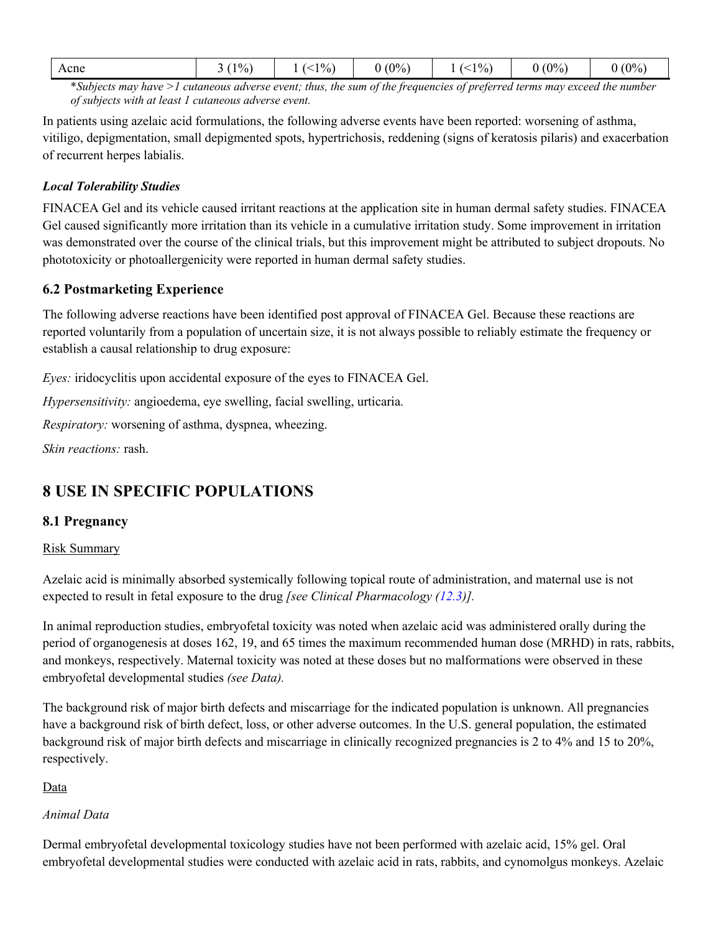<span id="page-3-0"></span>

|  | $1\%$<br>Acne<br>- - | $1\%$ | $(0\%)$ | $1\%$ ) | $(0\%)$<br>v | $(0\%)$ |
|--|----------------------|-------|---------|---------|--------------|---------|
|--|----------------------|-------|---------|---------|--------------|---------|

[\\*](#page-2-0)*Subjects may have >1 cutaneous adverse event; thus, the sum of the frequencies of preferred terms may exceed the number of subjects with at least 1 cutaneous adverse event.*

In patients using azelaic acid formulations, the following adverse events have been reported: worsening of asthma, vitiligo, depigmentation, small depigmented spots, hypertrichosis, reddening (signs of keratosis pilaris) and exacerbation of recurrent herpes labialis.

#### *Local Tolerability Studies*

FINACEA Gel and its vehicle caused irritant reactions at the application site in human dermal safety studies. FINACEA Gel caused significantly more irritation than its vehicle in a cumulative irritation study. Some improvement in irritation was demonstrated over the course of the clinical trials, but this improvement might be attributed to subject dropouts. No phototoxicity or photoallergenicity were reported in human dermal safety studies.

#### **6.2 Postmarketing Experience**

The following adverse reactions have been identified post approval of FINACEA Gel. Because these reactions are reported voluntarily from a population of uncertain size, it is not always possible to reliably estimate the frequency or establish a causal relationship to drug exposure:

*Eyes:* iridocyclitis upon accidental exposure of the eyes to FINACEA Gel.

*Hypersensitivity:* angioedema, eye swelling, facial swelling, urticaria.

*Respiratory:* worsening of asthma, dyspnea, wheezing.

*Skin reactions:* rash.

# **8 USE IN SPECIFIC POPULATIONS**

### **8.1 Pregnancy**

#### Risk Summary

Azelaic acid is minimally absorbed systemically following topical route of administration, and maternal use is not expected to result in fetal exposure to the drug *[see Clinical Pharmacology ([12.3\)](#page-5-0)].* 

In animal reproduction studies, embryofetal toxicity was noted when azelaic acid was administered orally during the period of organogenesis at doses 162, 19, and 65 times the maximum recommended human dose (MRHD) in rats, rabbits, and monkeys, respectively. Maternal toxicity was noted at these doses but no malformations were observed in these embryofetal developmental studies *(see Data).* 

The background risk of major birth defects and miscarriage for the indicated population is unknown. All pregnancies have a background risk of birth defect, loss, or other adverse outcomes. In the U.S. general population, the estimated background risk of major birth defects and miscarriage in clinically recognized pregnancies is 2 to 4% and 15 to 20%, respectively.

#### Data

#### *Animal Data*

Dermal embryofetal developmental toxicology studies have not been performed with azelaic acid, 15% gel. Oral embryofetal developmental studies were conducted with azelaic acid in rats, rabbits, and cynomolgus monkeys. Azelaic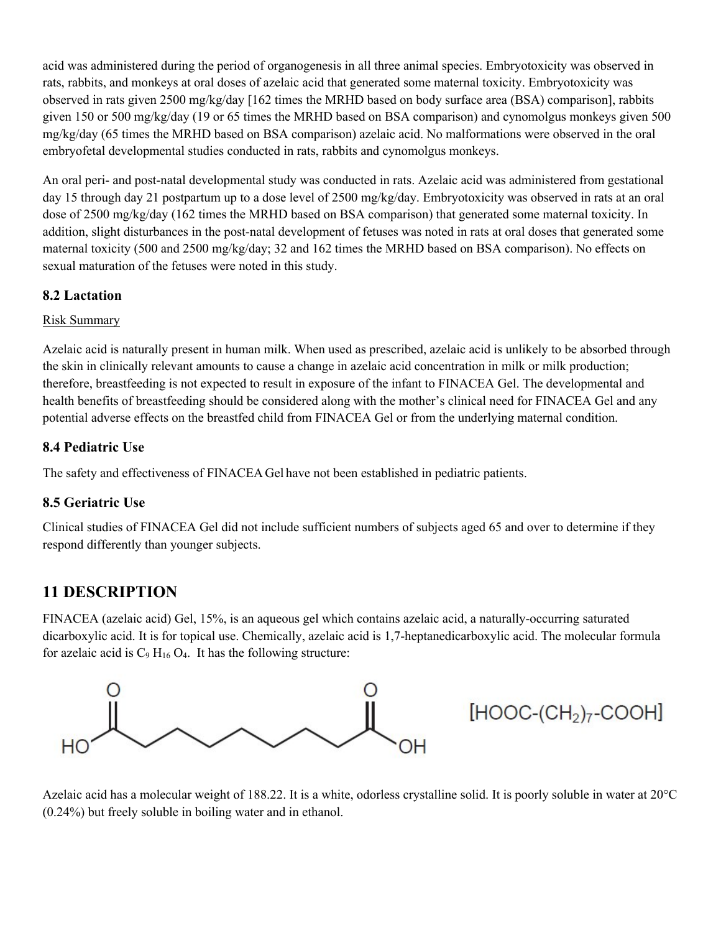acid was administered during the period of organogenesis in all three animal species. Embryotoxicity was observed in rats, rabbits, and monkeys at oral doses of azelaic acid that generated some maternal toxicity. Embryotoxicity was observed in rats given 2500 mg/kg/day [162 times the MRHD based on body surface area (BSA) comparison], rabbits given 150 or 500 mg/kg/day (19 or 65 times the MRHD based on BSA comparison) and cynomolgus monkeys given 500 mg/kg/day (65 times the MRHD based on BSA comparison) azelaic acid. No malformations were observed in the oral embryofetal developmental studies conducted in rats, rabbits and cynomolgus monkeys.

An oral peri- and post-natal developmental study was conducted in rats. Azelaic acid was administered from gestational day 15 through day 21 postpartum up to a dose level of 2500 mg/kg/day. Embryotoxicity was observed in rats at an oral dose of 2500 mg/kg/day (162 times the MRHD based on BSA comparison) that generated some maternal toxicity. In addition, slight disturbances in the post-natal development of fetuses was noted in rats at oral doses that generated some maternal toxicity (500 and 2500 mg/kg/day; 32 and 162 times the MRHD based on BSA comparison). No effects on sexual maturation of the fetuses were noted in this study.

### **8.2 Lactation**

### Risk Summary

Azelaic acid is naturally present in human milk. When used as prescribed, azelaic acid is unlikely to be absorbed through the skin in clinically relevant amounts to cause a change in azelaic acid concentration in milk or milk production; therefore, breastfeeding is not expected to result in exposure of the infant to FINACEA Gel. The developmental and health benefits of breastfeeding should be considered along with the mother's clinical need for FINACEA Gel and any potential adverse effects on the breastfed child from FINACEA Gel or from the underlying maternal condition.

# **8.4 Pediatric Use**

The safety and effectiveness of FINACEA Gel have not been established in pediatric patients.

### **8.5 Geriatric Use**

Clinical studies of FINACEA Gel did not include sufficient numbers of subjects aged 65 and over to determine if they respond differently than younger subjects.

# **11 DESCRIPTION**

FINACEA (azelaic acid) Gel, 15%, is an aqueous gel which contains azelaic acid, a naturally-occurring saturated dicarboxylic acid. It is for topical use. Chemically, azelaic acid is 1,7-heptanedicarboxylic acid. The molecular formula for azelaic acid is  $C_9 H_{16} O_4$ . It has the following structure:



Azelaic acid has a molecular weight of 188.22. It is a white, odorless crystalline solid. It is poorly soluble in water at 20°C (0.24%) but freely soluble in boiling water and in ethanol.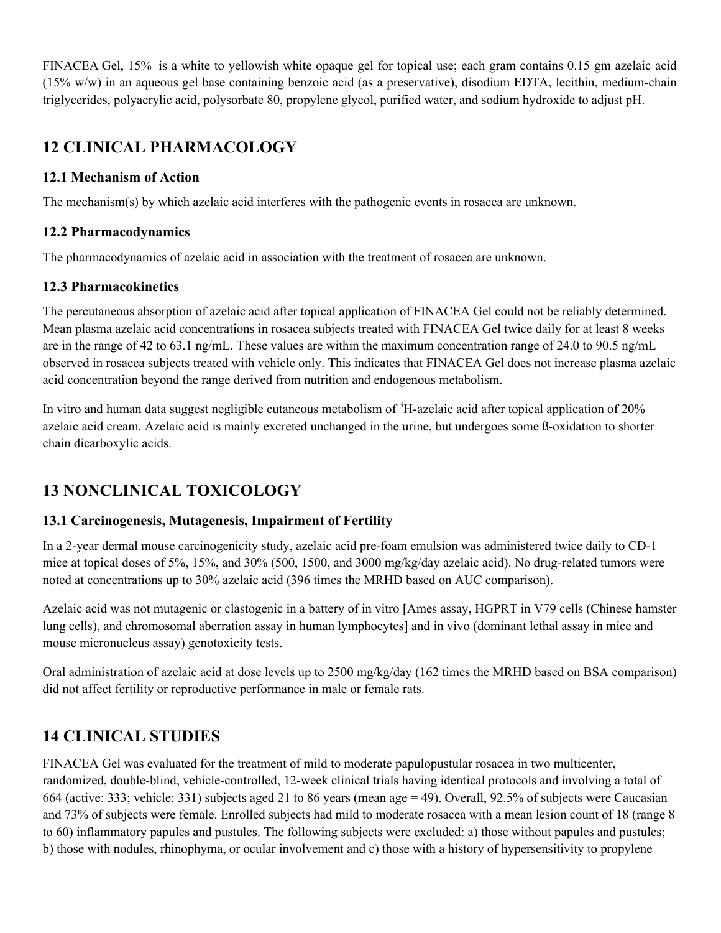<span id="page-5-0"></span>FINACEA Gel, 15% is a white to yellowish white opaque gel for topical use; each gram contains 0.15 gm azelaic acid (15% w/w) in an aqueous gel base containing benzoic acid (as a preservative), disodium EDTA, lecithin, medium-chain triglycerides, polyacrylic acid, polysorbate 80, propylene glycol, purified water, and sodium hydroxide to adjust pH.

# **12 CLINICAL PHARMACOLOGY**

# **12.1 Mechanism of Action**

The mechanism(s) by which azelaic acid interferes with the pathogenic events in rosacea are unknown.

## **12.2 Pharmacodynamics**

The pharmacodynamics of azelaic acid in association with the treatment of rosacea are unknown.

# **12.3 Pharmacokinetics**

The percutaneous absorption of azelaic acid after topical application of FINACEA Gel could not be reliably determined. Mean plasma azelaic acid concentrations in rosacea subjects treated with FINACEA Gel twice daily for at least 8 weeks are in the range of 42 to 63.1 ng/mL. These values are within the maximum concentration range of 24.0 to 90.5 ng/mL observed in rosacea subjects treated with vehicle only. This indicates that FINACEA Gel does not increase plasma azelaic acid concentration beyond the range derived from nutrition and endogenous metabolism.

In vitro and human data suggest negligible cutaneous metabolism of <sup>3</sup>H-azelaic acid after topical application of 20% azelaic acid cream. Azelaic acid is mainly excreted unchanged in the urine, but undergoes some ß-oxidation to shorter chain dicarboxylic acids.

# **13 NONCLINICAL TOXICOLOGY**

# **13.1 Carcinogenesis, Mutagenesis, Impairment of Fertility**

In a 2-year dermal mouse carcinogenicity study, azelaic acid pre-foam emulsion was administered twice daily to CD-1 mice at topical doses of 5%, 15%, and 30% (500, 1500, and 3000 mg/kg/day azelaic acid). No drug-related tumors were noted at concentrations up to 30% azelaic acid (396 times the MRHD based on AUC comparison).

Azelaic acid was not mutagenic or clastogenic in a battery of in vitro [Ames assay, HGPRT in V79 cells (Chinese hamster lung cells), and chromosomal aberration assay in human lymphocytes] and in vivo (dominant lethal assay in mice and mouse micronucleus assay) genotoxicity tests.

Oral administration of azelaic acid at dose levels up to 2500 mg/kg/day (162 times the MRHD based on BSA comparison) did not affect fertility or reproductive performance in male or female rats.

# **14 CLINICAL STUDIES**

FINACEA Gel was evaluated for the treatment of mild to moderate papulopustular rosacea in two multicenter, randomized, double-blind, vehicle-controlled, 12-week clinical trials having identical protocols and involving a total of 664 (active: 333; vehicle: 331) subjects aged 21 to 86 years (mean age = 49). Overall, 92.5% of subjects were Caucasian and 73% of subjects were female. Enrolled subjects had mild to moderate rosacea with a mean lesion count of 18 (range 8 to 60) inflammatory papules and pustules. The following subjects were excluded: a) those without papules and pustules; b) those with nodules, rhinophyma, or ocular involvement and c) those with a history of hypersensitivity to propylene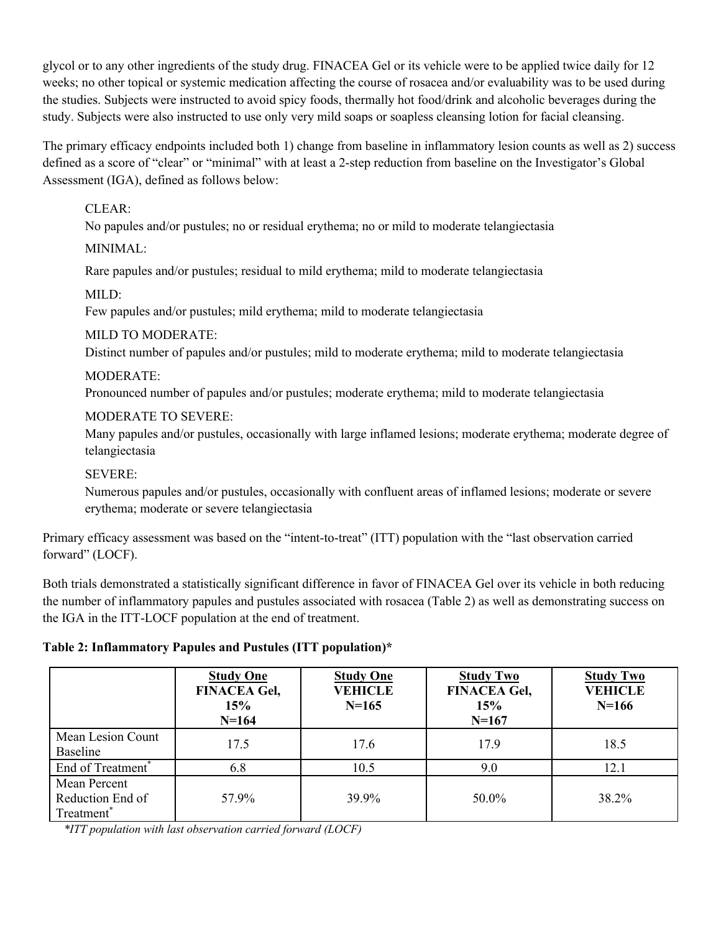glycol or to any other ingredients of the study drug. FINACEA Gel or its vehicle were to be applied twice daily for 12 weeks; no other topical or systemic medication affecting the course of rosacea and/or evaluability was to be used during the studies. Subjects were instructed to avoid spicy foods, thermally hot food/drink and alcoholic beverages during the study. Subjects were also instructed to use only very mild soaps or soapless cleansing lotion for facial cleansing.

The primary efficacy endpoints included both 1) change from baseline in inflammatory lesion counts as well as 2) success defined as a score of "clear" or "minimal" with at least a 2-step reduction from baseline on the Investigator's Global Assessment (IGA), defined as follows below:

### CLEAR:

No papules and/or pustules; no or residual erythema; no or mild to moderate telangiectasia

### MINIMAL:

Rare papules and/or pustules; residual to mild erythema; mild to moderate telangiectasia

### MILD:

Few papules and/or pustules; mild erythema; mild to moderate telangiectasia

### MILD TO MODERATE:

Distinct number of papules and/or pustules; mild to moderate erythema; mild to moderate telangiectasia

### MODERATE:

Pronounced number of papules and/or pustules; moderate erythema; mild to moderate telangiectasia

### MODERATE TO SEVERE:

Many papules and/or pustules, occasionally with large inflamed lesions; moderate erythema; moderate degree of telangiectasia

### SEVERE:

Numerous papules and/or pustules, occasionally with confluent areas of inflamed lesions; moderate or severe erythema; moderate or severe telangiectasia

Primary efficacy assessment was based on the "intent-to-treat" (ITT) population with the "last observation carried forward" (LOCF).

Both trials demonstrated a statistically significant difference in favor of FINACEA Gel over its vehicle in both reducing the number of inflammatory papules and pustules associated with rosacea (Table 2) as well as demonstrating success on the IGA in the ITT-LOCF population at the end of treatment.

### **Table 2: Inflammatory Papules and Pustules (ITT population)\***

|                                                            | <b>Study One</b><br><b>FINACEA Gel,</b><br>15%<br>$N = 164$ | <b>Study One</b><br><b>VEHICLE</b><br>$N=165$ | <b>Study Two</b><br><b>FINACEA Gel,</b><br>15%<br>$N=167$ | <b>Study Two</b><br><b>VEHICLE</b><br>$N=166$ |
|------------------------------------------------------------|-------------------------------------------------------------|-----------------------------------------------|-----------------------------------------------------------|-----------------------------------------------|
| Mean Lesion Count<br>Baseline                              | 17.5                                                        | 17.6                                          | 17.9                                                      | 18.5                                          |
| End of Treatment <sup>*</sup>                              | 6.8                                                         | 10.5                                          | 9.0                                                       | 12.1                                          |
| Mean Percent<br>Reduction End of<br>Treatment <sup>®</sup> | 57.9%                                                       | 39.9%                                         | 50.0%                                                     | 38.2%                                         |

*\*ITT population with last observation carried forward (LOCF)*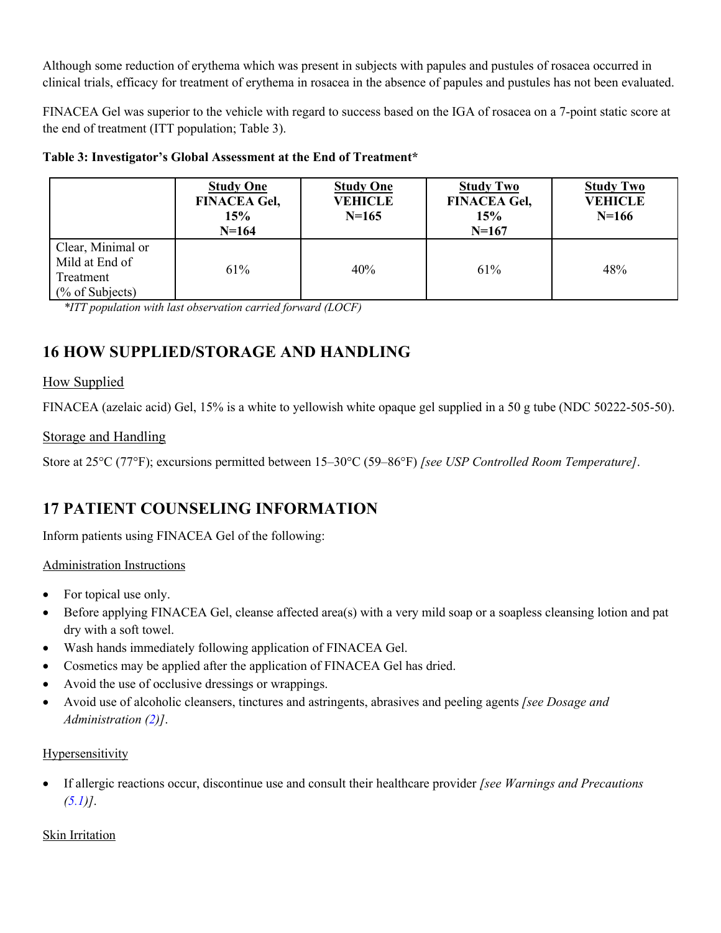<span id="page-7-0"></span>Although some reduction of erythema which was present in subjects with papules and pustules of rosacea occurred in clinical trials, efficacy for treatment of erythema in rosacea in the absence of papules and pustules has not been evaluated.

FINACEA Gel was superior to the vehicle with regard to success based on the IGA of rosacea on a 7-point static score at the end of treatment (ITT population; Table 3).

|  | Table 3: Investigator's Global Assessment at the End of Treatment* |
|--|--------------------------------------------------------------------|
|  |                                                                    |

|                                                                                | <b>Study One</b><br><b>FINACEA Gel,</b><br>15%<br>$N=164$ | <b>Study One</b><br><b>VEHICLE</b><br>$N=165$ | <b>Study Two</b><br><b>FINACEA Gel,</b><br>15%<br>$N=167$ | <b>Study Two</b><br><b>VEHICLE</b><br>$N=166$ |
|--------------------------------------------------------------------------------|-----------------------------------------------------------|-----------------------------------------------|-----------------------------------------------------------|-----------------------------------------------|
| Clear, Minimal or<br>Mild at End of<br>Treatment<br>$\frac{6}{6}$ of Subjects) | 61%                                                       | 40%                                           | 61%                                                       | 48%                                           |

*\*ITT population with last observation carried forward (LOCF)*

# **16 HOW SUPPLIED/STORAGE AND HANDLING**

### How Supplied

FINACEA (azelaic acid) Gel, 15% is a white to yellowish white opaque gel supplied in a 50 g tube (NDC 50222-505-50).

### Storage and Handling

Store at 25°C (77°F); excursions permitted between 15–30°C (59–86°F) *[see USP Controlled Room Temperature]*.

# **17 PATIENT COUNSELING INFORMATION**

Inform patients using FINACEA Gel of the following:

### Administration Instructions

- For topical use only.
- Before applying FINACEA Gel, cleanse affected area(s) with a very mild soap or a soapless cleansing lotion and pat dry with a soft towel.
- Wash hands immediately following application of FINACEA Gel.
- Cosmetics may be applied after the application of FINACEA Gel has dried.
- Avoid the use of occlusive dressings or wrappings.
- Avoid use of alcoholic cleansers, tinctures and astringents, abrasives and peeling agents *[see Dosage and Administration ([2](#page-1-0))]*.

### Hypersensitivity

• If allergic reactions occur, discontinue use and consult their healthcare provider *[see Warnings and Precautions*  $(5.1)$  $(5.1)$ .

### Skin Irritation